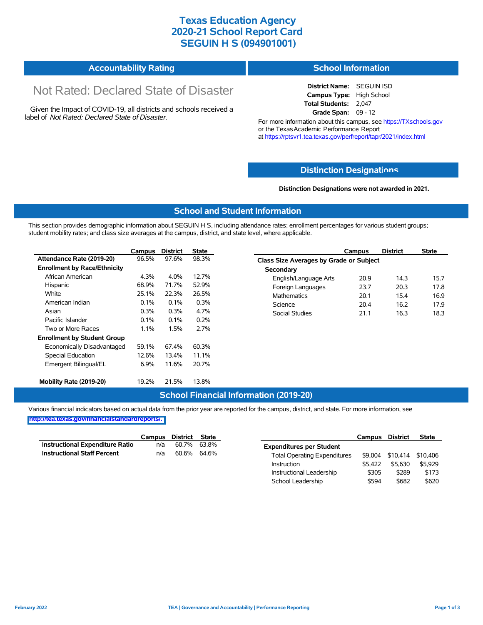### **Texas Education Agency 2020-21 School Report Card SEGUIN H S (094901001)**

| <b>Accountability Rating</b> | <b>School Information</b> |
|------------------------------|---------------------------|
|------------------------------|---------------------------|

# Not Rated: Declared State of Disaster

Given the Impact of COVID-19, all districts and schools received a label of *Not Rated: Declared State of Disaster.*

**District Name:** SEGUIN ISD **Campus Type:** High School **Total Students:** 2,047 **Grade Span:** 09 - 12

For more information about this campus, see https://TXschools.gov or the Texas Academic Performance Report at https://rptsvr1.tea.texas.gov/perfreport/tapr/2021/index.html

#### **Distinction Designat[ions](https://TXschools.gov)**

**Distinction Designations were not awarded in 2021.**

School Leadership  $$594$  \$682 \$620

#### **School and Student Information**

This section provides demographic information about SEGUIN H S, including attendance rates; enrollment percentages for various student groups; student mobility rates; and class size averages at the campus, district, and state level, where applicable.

|                                     | Campus | <b>District</b> | <b>State</b> | Campus                                         | <b>District</b> | <b>State</b> |  |  |  |  |
|-------------------------------------|--------|-----------------|--------------|------------------------------------------------|-----------------|--------------|--|--|--|--|
| Attendance Rate (2019-20)           | 96.5%  | 97.6%           | 98.3%        | <b>Class Size Averages by Grade or Subject</b> |                 |              |  |  |  |  |
| <b>Enrollment by Race/Ethnicity</b> |        |                 |              | Secondary                                      |                 |              |  |  |  |  |
| African American                    | 4.3%   | 4.0%            | 12.7%        | English/Language Arts<br>20.9                  | 14.3            |              |  |  |  |  |
| Hispanic                            | 68.9%  | 71.7%           | 52.9%        | 23.7<br>Foreign Languages                      | 20.3            |              |  |  |  |  |
| White                               | 25.1%  | 22.3%           | 26.5%        | <b>Mathematics</b><br>20.1                     | 15.4            |              |  |  |  |  |
| American Indian                     | 0.1%   | $0.1\%$         | 0.3%         | Science<br>20.4                                | 16.2            |              |  |  |  |  |
| Asian                               | 0.3%   | 0.3%            | 4.7%         | <b>Social Studies</b><br>21.1                  | 16.3            |              |  |  |  |  |
| Pacific Islander                    | 0.1%   | 0.1%            | 0.2%         |                                                |                 |              |  |  |  |  |
| Two or More Races                   | 1.1%   | 1.5%            | 2.7%         |                                                |                 |              |  |  |  |  |
| <b>Enrollment by Student Group</b>  |        |                 |              |                                                |                 |              |  |  |  |  |
| Economically Disadvantaged          | 59.1%  | 67.4%           | 60.3%        |                                                |                 |              |  |  |  |  |
| Special Education                   | 12.6%  | 13.4%           | 11.1%        |                                                |                 |              |  |  |  |  |
| Emergent Bilingual/EL               | 6.9%   | 11.6%           | 20.7%        |                                                |                 |              |  |  |  |  |
| Mobility Rate (2019-20)             | 19.2%  | 21.5%           | 13.8%        |                                                |                 |              |  |  |  |  |

#### **School Financial Information (2019-20)**

Various financial indicators based on actual data from the prior year are reported for the campus, district, and state. For more information, see

**[http://tea.texas.gov/financialstandardreports/.](http://tea.texas.gov/financialstandardreports/)**

|                                    | Campus | District State |             |                                     | Campus  | <b>District</b>  | <b>State</b> |
|------------------------------------|--------|----------------|-------------|-------------------------------------|---------|------------------|--------------|
| Instructional Expenditure Ratio    | n/a    | 60.7%          | 63.8%       | <b>Expenditures per Student</b>     |         |                  |              |
| <b>Instructional Staff Percent</b> | n/a    |                | 60.6% 64.6% | <b>Total Operating Expenditures</b> |         | \$9,004 \$10,414 | \$10,406     |
|                                    |        |                |             | Instruction                         | \$5.422 | \$5.630          | \$5.929      |
|                                    |        |                |             | Instructional Leadership            | \$305   | \$289            | \$173        |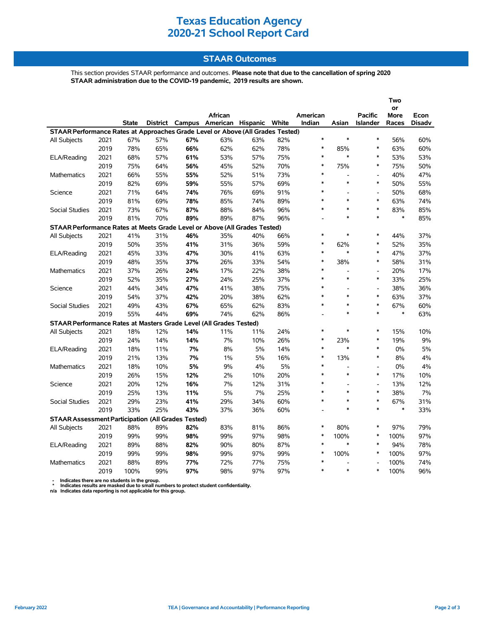## **Texas Education Agency 2020-21 School Report Card**

### **STAAR Outcomes**

This section provides STAAR performance and outcomes. **Please note that due to the cancellation of spring 2020 STAAR administration due to the COVID-19 pandemic, 2019 results are shown.**

|                                                                                                                     |      |              |     |     |         |     |       |                |                          |                          | Two               |               |  |
|---------------------------------------------------------------------------------------------------------------------|------|--------------|-----|-----|---------|-----|-------|----------------|--------------------------|--------------------------|-------------------|---------------|--|
|                                                                                                                     |      |              |     |     | African |     |       | American       |                          | <b>Pacific</b>           | or<br><b>More</b> | Econ          |  |
|                                                                                                                     |      | <b>State</b> |     |     |         |     | White | Indian         | Asian                    | <b>Islander</b>          | Races             | <b>Disadv</b> |  |
| District Campus American Hispanic<br>STAAR Performance Rates at Approaches Grade Level or Above (All Grades Tested) |      |              |     |     |         |     |       |                |                          |                          |                   |               |  |
| All Subjects                                                                                                        | 2021 | 67%          | 57% | 67% | 63%     | 63% | 82%   | $\ast$         | $\ast$                   | $\ast$                   | 56%               | 60%           |  |
|                                                                                                                     | 2019 | 78%          | 65% | 66% | 62%     | 62% | 78%   | $\ast$         | 85%                      | $\ast$                   | 63%               | 60%           |  |
| ELA/Reading                                                                                                         | 2021 | 68%          | 57% | 61% | 53%     | 57% | 75%   | $\ast$         | $\ast$                   | $\ast$                   | 53%               | 53%           |  |
|                                                                                                                     | 2019 | 75%          | 64% | 56% | 45%     | 52% | 70%   | $\ast$         | 75%                      | $\ast$                   | 75%               | 50%           |  |
| <b>Mathematics</b>                                                                                                  | 2021 | 66%          | 55% | 55% | 52%     | 51% | 73%   | $\ast$         | $\overline{a}$           | $\overline{\phantom{a}}$ | 40%               | 47%           |  |
|                                                                                                                     | 2019 | 82%          | 69% | 59% | 55%     | 57% | 69%   | $\ast$         | $\ast$                   | $\ast$                   | 50%               | 55%           |  |
| Science                                                                                                             | 2021 | 71%          | 64% | 74% | 76%     | 69% | 91%   | $\ast$         |                          | $\overline{a}$           | 50%               | 68%           |  |
|                                                                                                                     | 2019 | 81%          | 69% | 78% | 85%     | 74% | 89%   | $\ast$         | $\ast$                   | $\ast$                   | 63%               | 74%           |  |
| <b>Social Studies</b>                                                                                               | 2021 | 73%          | 67% | 87% | 88%     | 84% | 96%   | $\ast$         | $\ast$                   | $\ast$                   | 83%               | 85%           |  |
|                                                                                                                     | 2019 | 81%          | 70% | 89% | 89%     | 87% | 96%   | $\overline{a}$ | $\ast$                   | $\ast$                   | $\ast$            | 85%           |  |
| STAAR Performance Rates at Meets Grade Level or Above (All Grades Tested)                                           |      |              |     |     |         |     |       |                |                          |                          |                   |               |  |
| All Subjects                                                                                                        | 2021 | 41%          | 31% | 46% | 35%     | 40% | 66%   | $\ast$         | $\ast$                   | $\ast$                   | 44%               | 37%           |  |
|                                                                                                                     | 2019 | 50%          | 35% | 41% | 31%     | 36% | 59%   | $\ast$         | 62%                      | $\ast$                   | 52%               | 35%           |  |
| ELA/Reading                                                                                                         | 2021 | 45%          | 33% | 47% | 30%     | 41% | 63%   | $\ast$         | $\ast$                   | $\ast$                   | 47%               | 37%           |  |
|                                                                                                                     | 2019 | 48%          | 35% | 37% | 26%     | 33% | 54%   | $\ast$         | 38%                      | $\ast$                   | 58%               | 31%           |  |
| Mathematics                                                                                                         | 2021 | 37%          | 26% | 24% | 17%     | 22% | 38%   | $\ast$         | $\overline{\phantom{a}}$ | $\overline{\phantom{a}}$ | 20%               | 17%           |  |
|                                                                                                                     | 2019 | 52%          | 35% | 27% | 24%     | 25% | 37%   | $\ast$         | $\ast$                   | $\ast$                   | 33%               | 25%           |  |
| Science                                                                                                             | 2021 | 44%          | 34% | 47% | 41%     | 38% | 75%   | $\ast$         | $\overline{a}$           | $\overline{\phantom{a}}$ | 38%               | 36%           |  |
|                                                                                                                     | 2019 | 54%          | 37% | 42% | 20%     | 38% | 62%   | $\ast$         | $\ast$                   | $\ast$                   | 63%               | 37%           |  |
| <b>Social Studies</b>                                                                                               | 2021 | 49%          | 43% | 67% | 65%     | 62% | 83%   | $\ast$         | $\ast$                   | $\ast$                   | 67%               | 60%           |  |
|                                                                                                                     | 2019 | 55%          | 44% | 69% | 74%     | 62% | 86%   |                | $\ast$                   | $\ast$                   | $\ast$            | 63%           |  |
| STAAR Performance Rates at Masters Grade Level (All Grades Tested)                                                  |      |              |     |     |         |     |       |                |                          |                          |                   |               |  |
| <b>All Subjects</b>                                                                                                 | 2021 | 18%          | 12% | 14% | 11%     | 11% | 24%   | $\ast$         | $\ast$                   | $\ast$                   | 15%               | 10%           |  |
|                                                                                                                     | 2019 | 24%          | 14% | 14% | 7%      | 10% | 26%   | *              | 23%                      | $\ast$                   | 19%               | 9%            |  |
| ELA/Reading                                                                                                         | 2021 | 18%          | 11% | 7%  | 8%      | 5%  | 14%   | $\ast$         | $\ast$                   | $\ast$                   | 0%                | 5%            |  |
|                                                                                                                     | 2019 | 21%          | 13% | 7%  | $1\%$   | 5%  | 16%   | $\ast$         | 13%                      | $\ast$                   | 8%                | 4%            |  |
| Mathematics                                                                                                         | 2021 | 18%          | 10% | 5%  | 9%      | 4%  | 5%    | $\ast$         | $\overline{a}$           | $\overline{a}$           | 0%                | 4%            |  |
|                                                                                                                     | 2019 | 26%          | 15% | 12% | 2%      | 10% | 20%   | $\ast$         | $\ast$                   | $\ast$                   | 17%               | 10%           |  |
| Science                                                                                                             | 2021 | 20%          | 12% | 16% | 7%      | 12% | 31%   | $\ast$         |                          | $\overline{a}$           | 13%               | 12%           |  |
|                                                                                                                     | 2019 | 25%          | 13% | 11% | 5%      | 7%  | 25%   | $\ast$         | $\ast$                   | $\ast$                   | 38%               | 7%            |  |
| Social Studies                                                                                                      | 2021 | 29%          | 23% | 41% | 29%     | 34% | 60%   | $\ast$         | $\ast$                   | $\ast$                   | 67%               | 31%           |  |
|                                                                                                                     | 2019 | 33%          | 25% | 43% | 37%     | 36% | 60%   | $\overline{a}$ | $\ast$                   | $\ast$                   | $\ast$            | 33%           |  |
| <b>STAAR Assessment Participation (All Grades Tested)</b>                                                           |      |              |     |     |         |     |       |                |                          |                          |                   |               |  |
| All Subjects                                                                                                        | 2021 | 88%          | 89% | 82% | 83%     | 81% | 86%   | $\ast$         | 80%                      | $\ast$                   | 97%               | 79%           |  |
|                                                                                                                     | 2019 | 99%          | 99% | 98% | 99%     | 97% | 98%   | $\ast$         | 100%                     | $\ast$                   | 100%              | 97%           |  |
| ELA/Reading                                                                                                         | 2021 | 89%          | 88% | 82% | 90%     | 80% | 87%   | $\ast$         | $\ast$                   | $\ast$                   | 94%               | 78%           |  |
|                                                                                                                     | 2019 | 99%          | 99% | 98% | 99%     | 97% | 99%   | $\ast$         | 100%                     | $\ast$                   | 100%              | 97%           |  |
| <b>Mathematics</b>                                                                                                  | 2021 | 88%          | 89% | 77% | 72%     | 77% | 75%   | *              | Ĭ.                       |                          | 100%              | 74%           |  |
|                                                                                                                     | 2019 | 100%         | 99% | 97% | 98%     | 97% | 97%   | $\ast$         | $\ast$                   | $\ast$                   | 100%              | 96%           |  |

 **- Indicates there are no students in the group. \* Indicates results are masked due to small numbers to protect student confidentiality.**

**n/a Indicates data reporting is not applicable for this group.**